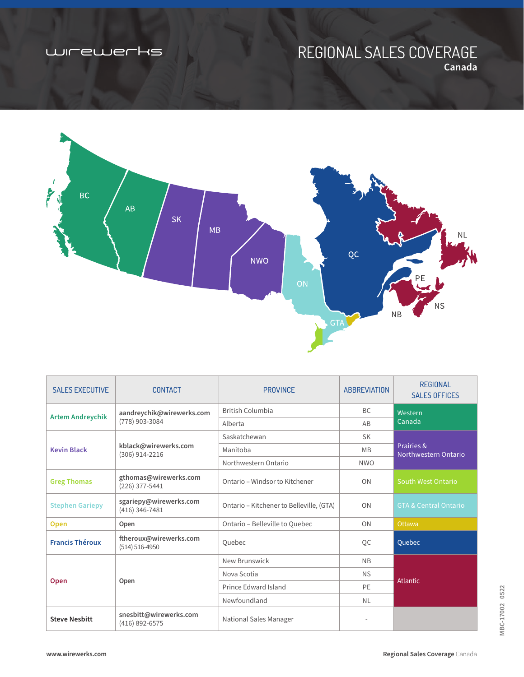## wirewerks

# REGIONAL SALES COVERAGE **Canada**



| <b>SALES EXECUTIVE</b>  | <b>CONTACT</b>                               | <b>PROVINCE</b>                          | <b>ABBREVIATION</b>      | <b>REGIONAL</b><br><b>SALES OFFICES</b> |  |
|-------------------------|----------------------------------------------|------------------------------------------|--------------------------|-----------------------------------------|--|
| <b>Artem Andreychik</b> | aandreychik@wirewerks.com<br>(778) 903-3084  | British Columbia                         | <b>BC</b>                | Western<br>Canada                       |  |
|                         |                                              | Alberta                                  | AB                       |                                         |  |
| <b>Kevin Black</b>      | kblack@wirewerks.com<br>(306) 914-2216       | Saskatchewan                             | <b>SK</b>                |                                         |  |
|                         |                                              | Manitoba                                 | <b>MB</b>                | Prairies &<br>Northwestern Ontario      |  |
|                         |                                              | Northwestern Ontario                     | <b>NWO</b>               |                                         |  |
| <b>Greg Thomas</b>      | gthomas@wirewerks.com<br>(226) 377-5441      | Ontario – Windsor to Kitchener           | ON                       | South West Ontario                      |  |
| <b>Stephen Gariepy</b>  | sgariepy@wirewerks.com<br>$(416)$ 346-7481   | Ontario - Kitchener to Belleville, (GTA) | ON                       | <b>GTA &amp; Central Ontario</b>        |  |
| <b>Open</b>             | Open                                         | Ontario - Belleville to Quebec           | ON                       | Ottawa                                  |  |
| <b>Francis Théroux</b>  | ftheroux@wirewerks.com<br>$(514) 516 - 4950$ | Quebec                                   | QC                       | Quebec                                  |  |
| <b>Open</b>             | Open                                         | New Brunswick                            | <b>NB</b>                |                                         |  |
|                         |                                              | Nova Scotia                              | <b>NS</b>                |                                         |  |
|                         |                                              | Prince Edward Island                     | PE                       | <b>Atlantic</b>                         |  |
|                         |                                              | Newfoundland                             | <b>NL</b>                |                                         |  |
| <b>Steve Nesbitt</b>    | snesbitt@wirewerks.com<br>$(416)$ 892-6575   | <b>National Sales Manager</b>            | $\overline{\phantom{a}}$ |                                         |  |